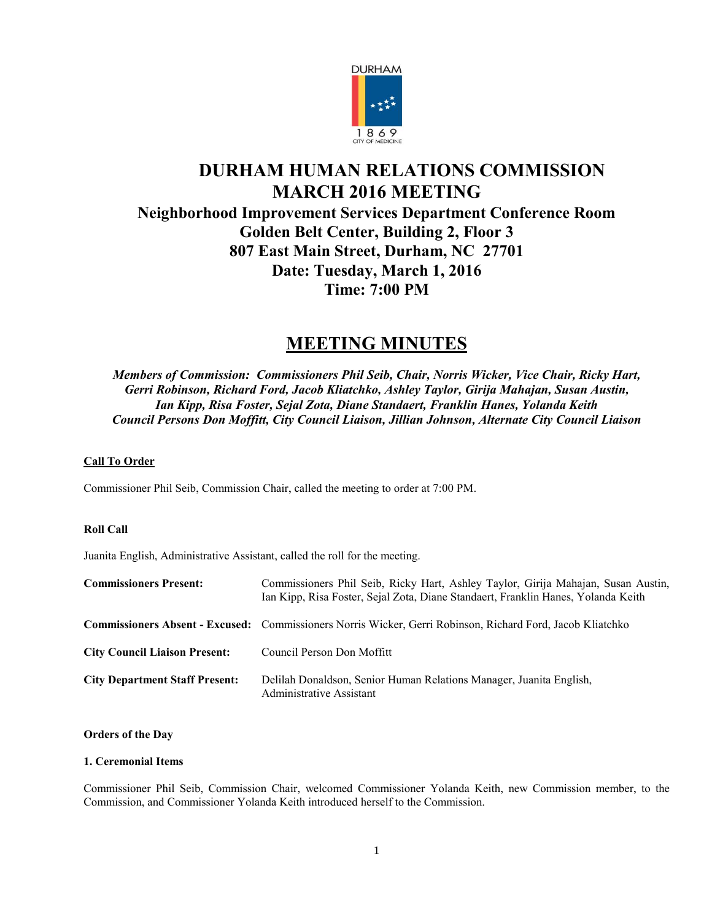

# **DURHAM HUMAN RELATIONS COMMISSION MARCH 2016 MEETING Neighborhood Improvement Services Department Conference Room Golden Belt Center, Building 2, Floor 3 807 East Main Street, Durham, NC 27701 Date: Tuesday, March 1, 2016 Time: 7:00 PM**

# **MEETING MINUTES**

*Members of Commission: Commissioners Phil Seib, Chair, Norris Wicker, Vice Chair, Ricky Hart, Gerri Robinson, Richard Ford, Jacob Kliatchko, Ashley Taylor, Girija Mahajan, Susan Austin, Ian Kipp, Risa Foster, Sejal Zota, Diane Standaert, Franklin Hanes, Yolanda Keith Council Persons Don Moffitt, City Council Liaison, Jillian Johnson, Alternate City Council Liaison*

# **Call To Order**

Commissioner Phil Seib, Commission Chair, called the meeting to order at 7:00 PM.

# **Roll Call**

Juanita English, Administrative Assistant, called the roll for the meeting.

| <b>Commissioners Present:</b>         | Commissioners Phil Seib, Ricky Hart, Ashley Taylor, Girija Mahajan, Susan Austin,<br>Ian Kipp, Risa Foster, Sejal Zota, Diane Standaert, Franklin Hanes, Yolanda Keith |
|---------------------------------------|------------------------------------------------------------------------------------------------------------------------------------------------------------------------|
|                                       | <b>Commissioners Absent - Excused:</b> Commissioners Norris Wicker, Gerri Robinson, Richard Ford, Jacob Kliatchko                                                      |
| <b>City Council Liaison Present:</b>  | Council Person Don Moffitt                                                                                                                                             |
| <b>City Department Staff Present:</b> | Delilah Donaldson, Senior Human Relations Manager, Juanita English,<br>Administrative Assistant                                                                        |

# **Orders of the Day**

#### **1. Ceremonial Items**

Commissioner Phil Seib, Commission Chair, welcomed Commissioner Yolanda Keith, new Commission member, to the Commission, and Commissioner Yolanda Keith introduced herself to the Commission.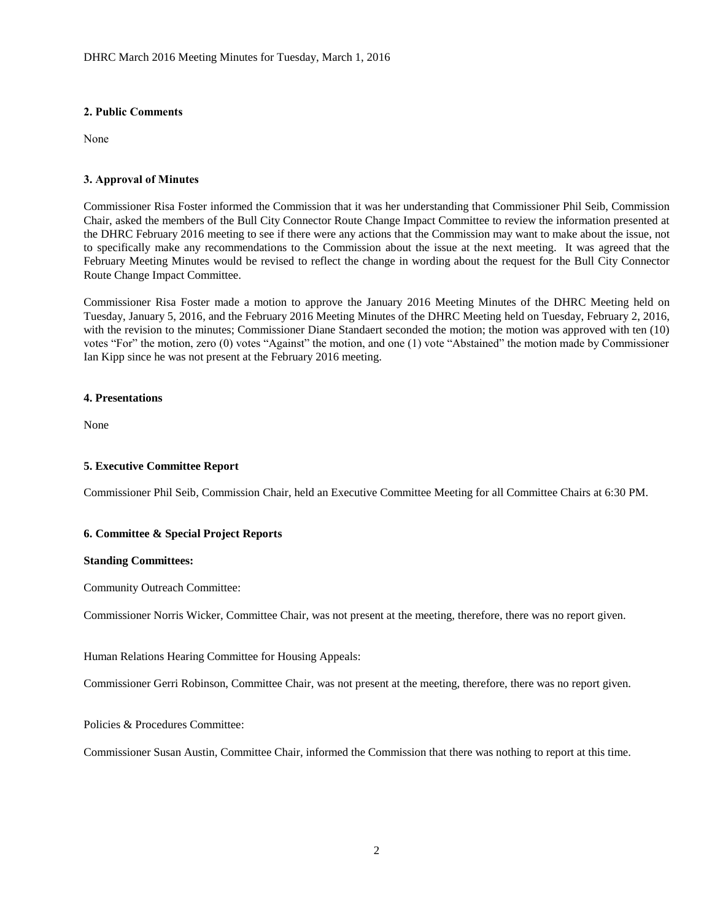## **2. Public Comments**

None

## **3. Approval of Minutes**

Commissioner Risa Foster informed the Commission that it was her understanding that Commissioner Phil Seib, Commission Chair, asked the members of the Bull City Connector Route Change Impact Committee to review the information presented at the DHRC February 2016 meeting to see if there were any actions that the Commission may want to make about the issue, not to specifically make any recommendations to the Commission about the issue at the next meeting. It was agreed that the February Meeting Minutes would be revised to reflect the change in wording about the request for the Bull City Connector Route Change Impact Committee.

Commissioner Risa Foster made a motion to approve the January 2016 Meeting Minutes of the DHRC Meeting held on Tuesday, January 5, 2016, and the February 2016 Meeting Minutes of the DHRC Meeting held on Tuesday, February 2, 2016, with the revision to the minutes; Commissioner Diane Standaert seconded the motion; the motion was approved with ten (10) votes "For" the motion, zero (0) votes "Against" the motion, and one (1) vote "Abstained" the motion made by Commissioner Ian Kipp since he was not present at the February 2016 meeting.

## **4. Presentations**

None

# **5. Executive Committee Report**

Commissioner Phil Seib, Commission Chair, held an Executive Committee Meeting for all Committee Chairs at 6:30 PM.

# **6. Committee & Special Project Reports**

#### **Standing Committees:**

Community Outreach Committee:

Commissioner Norris Wicker, Committee Chair, was not present at the meeting, therefore, there was no report given.

Human Relations Hearing Committee for Housing Appeals:

Commissioner Gerri Robinson, Committee Chair, was not present at the meeting, therefore, there was no report given.

Policies & Procedures Committee:

Commissioner Susan Austin, Committee Chair, informed the Commission that there was nothing to report at this time.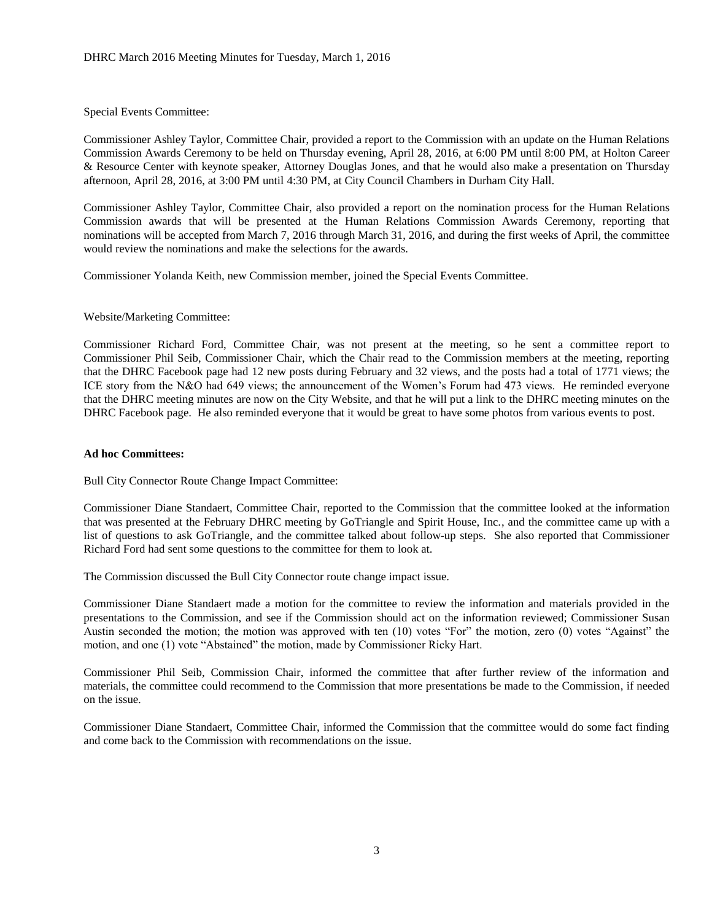Special Events Committee:

Commissioner Ashley Taylor, Committee Chair, provided a report to the Commission with an update on the Human Relations Commission Awards Ceremony to be held on Thursday evening, April 28, 2016, at 6:00 PM until 8:00 PM, at Holton Career & Resource Center with keynote speaker, Attorney Douglas Jones, and that he would also make a presentation on Thursday afternoon, April 28, 2016, at 3:00 PM until 4:30 PM, at City Council Chambers in Durham City Hall.

Commissioner Ashley Taylor, Committee Chair, also provided a report on the nomination process for the Human Relations Commission awards that will be presented at the Human Relations Commission Awards Ceremony, reporting that nominations will be accepted from March 7, 2016 through March 31, 2016, and during the first weeks of April, the committee would review the nominations and make the selections for the awards.

Commissioner Yolanda Keith, new Commission member, joined the Special Events Committee.

#### Website/Marketing Committee:

Commissioner Richard Ford, Committee Chair, was not present at the meeting, so he sent a committee report to Commissioner Phil Seib, Commissioner Chair, which the Chair read to the Commission members at the meeting, reporting that the DHRC Facebook page had 12 new posts during February and 32 views, and the posts had a total of 1771 views; the ICE story from the N&O had 649 views; the announcement of the Women's Forum had 473 views. He reminded everyone that the DHRC meeting minutes are now on the City Website, and that he will put a link to the DHRC meeting minutes on the DHRC Facebook page. He also reminded everyone that it would be great to have some photos from various events to post.

#### **Ad hoc Committees:**

Bull City Connector Route Change Impact Committee:

Commissioner Diane Standaert, Committee Chair, reported to the Commission that the committee looked at the information that was presented at the February DHRC meeting by GoTriangle and Spirit House, Inc., and the committee came up with a list of questions to ask GoTriangle, and the committee talked about follow-up steps. She also reported that Commissioner Richard Ford had sent some questions to the committee for them to look at.

The Commission discussed the Bull City Connector route change impact issue.

Commissioner Diane Standaert made a motion for the committee to review the information and materials provided in the presentations to the Commission, and see if the Commission should act on the information reviewed; Commissioner Susan Austin seconded the motion; the motion was approved with ten (10) votes "For" the motion, zero (0) votes "Against" the motion, and one (1) vote "Abstained" the motion, made by Commissioner Ricky Hart.

Commissioner Phil Seib, Commission Chair, informed the committee that after further review of the information and materials, the committee could recommend to the Commission that more presentations be made to the Commission, if needed on the issue.

Commissioner Diane Standaert, Committee Chair, informed the Commission that the committee would do some fact finding and come back to the Commission with recommendations on the issue.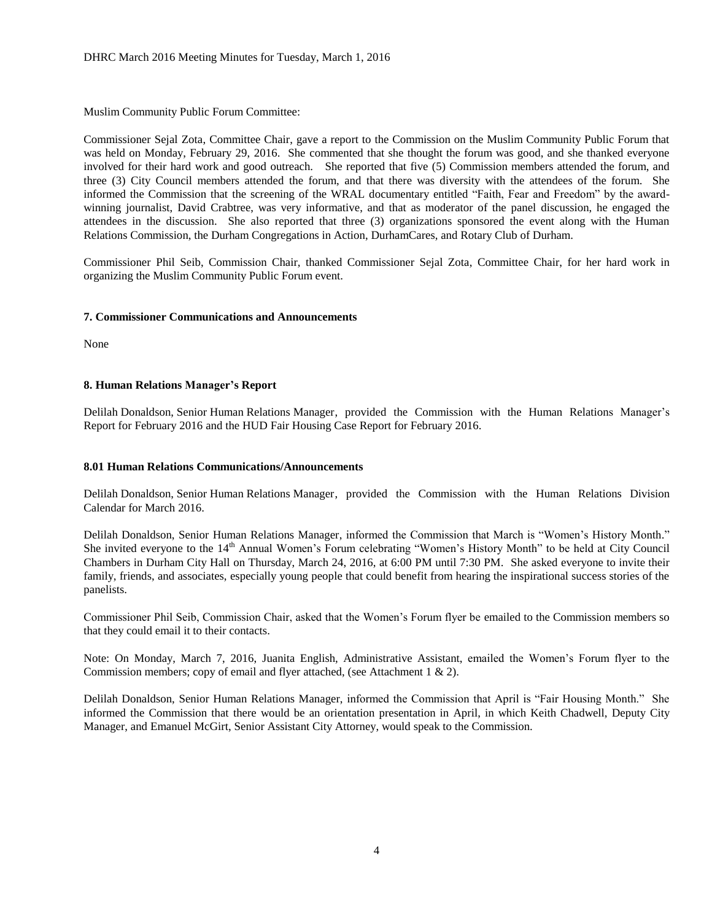Muslim Community Public Forum Committee:

Commissioner Sejal Zota, Committee Chair, gave a report to the Commission on the Muslim Community Public Forum that was held on Monday, February 29, 2016. She commented that she thought the forum was good, and she thanked everyone involved for their hard work and good outreach. She reported that five (5) Commission members attended the forum, and three (3) City Council members attended the forum, and that there was diversity with the attendees of the forum. She informed the Commission that the screening of the WRAL documentary entitled "Faith, Fear and Freedom" by the awardwinning journalist, David Crabtree, was very informative, and that as moderator of the panel discussion, he engaged the attendees in the discussion. She also reported that three (3) organizations sponsored the event along with the Human Relations Commission, the Durham Congregations in Action, DurhamCares, and Rotary Club of Durham.

Commissioner Phil Seib, Commission Chair, thanked Commissioner Sejal Zota, Committee Chair, for her hard work in organizing the Muslim Community Public Forum event.

#### **7. Commissioner Communications and Announcements**

None

#### **8. Human Relations Manager's Report**

Delilah Donaldson, Senior Human Relations Manager, provided the Commission with the Human Relations Manager's Report for February 2016 and the HUD Fair Housing Case Report for February 2016.

## **8.01 Human Relations Communications/Announcements**

Delilah Donaldson, Senior Human Relations Manager, provided the Commission with the Human Relations Division Calendar for March 2016.

Delilah Donaldson, Senior Human Relations Manager, informed the Commission that March is "Women's History Month." She invited everyone to the 14<sup>th</sup> Annual Women's Forum celebrating "Women's History Month" to be held at City Council Chambers in Durham City Hall on Thursday, March 24, 2016, at 6:00 PM until 7:30 PM. She asked everyone to invite their family, friends, and associates, especially young people that could benefit from hearing the inspirational success stories of the panelists.

Commissioner Phil Seib, Commission Chair, asked that the Women's Forum flyer be emailed to the Commission members so that they could email it to their contacts.

Note: On Monday, March 7, 2016, Juanita English, Administrative Assistant, emailed the Women's Forum flyer to the Commission members; copy of email and flyer attached, (see Attachment 1 & 2).

Delilah Donaldson, Senior Human Relations Manager, informed the Commission that April is "Fair Housing Month." She informed the Commission that there would be an orientation presentation in April, in which Keith Chadwell, Deputy City Manager, and Emanuel McGirt, Senior Assistant City Attorney, would speak to the Commission.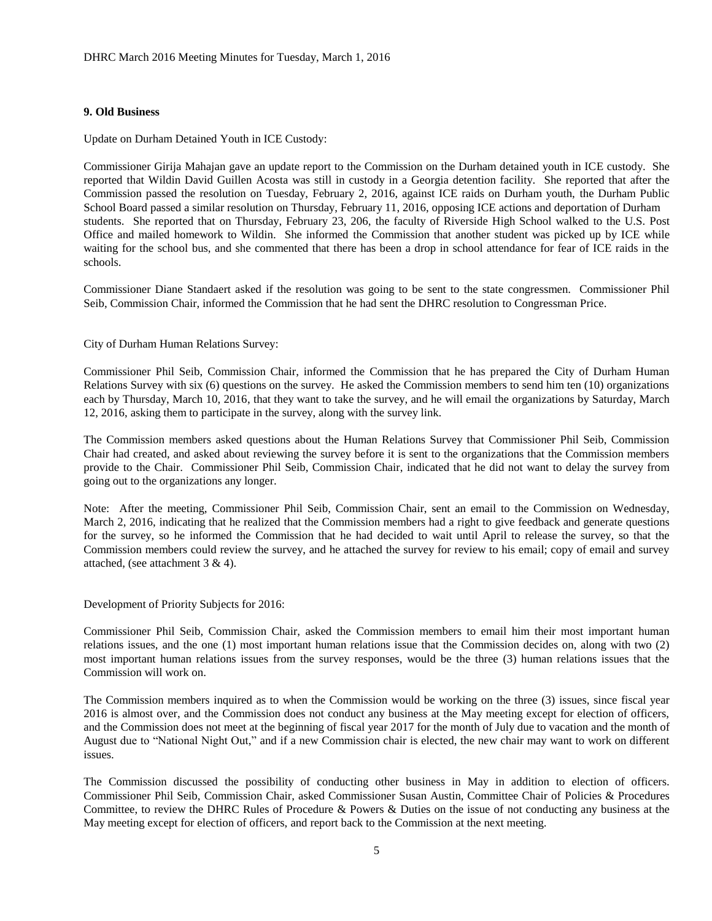#### **9. Old Business**

Update on Durham Detained Youth in ICE Custody:

Commissioner Girija Mahajan gave an update report to the Commission on the Durham detained youth in ICE custody. She reported that Wildin David Guillen Acosta was still in custody in a Georgia detention facility. She reported that after the Commission passed the resolution on Tuesday, February 2, 2016, against ICE raids on Durham youth, the Durham Public School Board passed a similar resolution on Thursday, February 11, 2016, opposing ICE actions and deportation of Durham students. She reported that on Thursday, February 23, 206, the faculty of Riverside High School walked to the U.S. Post Office and mailed homework to Wildin. She informed the Commission that another student was picked up by ICE while waiting for the school bus, and she commented that there has been a drop in school attendance for fear of ICE raids in the schools.

Commissioner Diane Standaert asked if the resolution was going to be sent to the state congressmen. Commissioner Phil Seib, Commission Chair, informed the Commission that he had sent the DHRC resolution to Congressman Price.

City of Durham Human Relations Survey:

Commissioner Phil Seib, Commission Chair, informed the Commission that he has prepared the City of Durham Human Relations Survey with six (6) questions on the survey. He asked the Commission members to send him ten (10) organizations each by Thursday, March 10, 2016, that they want to take the survey, and he will email the organizations by Saturday, March 12, 2016, asking them to participate in the survey, along with the survey link.

The Commission members asked questions about the Human Relations Survey that Commissioner Phil Seib, Commission Chair had created, and asked about reviewing the survey before it is sent to the organizations that the Commission members provide to the Chair. Commissioner Phil Seib, Commission Chair, indicated that he did not want to delay the survey from going out to the organizations any longer.

Note: After the meeting, Commissioner Phil Seib, Commission Chair, sent an email to the Commission on Wednesday, March 2, 2016, indicating that he realized that the Commission members had a right to give feedback and generate questions for the survey, so he informed the Commission that he had decided to wait until April to release the survey, so that the Commission members could review the survey, and he attached the survey for review to his email; copy of email and survey attached, (see attachment 3 & 4).

Development of Priority Subjects for 2016:

Commissioner Phil Seib, Commission Chair, asked the Commission members to email him their most important human relations issues, and the one (1) most important human relations issue that the Commission decides on, along with two (2) most important human relations issues from the survey responses, would be the three (3) human relations issues that the Commission will work on.

The Commission members inquired as to when the Commission would be working on the three (3) issues, since fiscal year 2016 is almost over, and the Commission does not conduct any business at the May meeting except for election of officers, and the Commission does not meet at the beginning of fiscal year 2017 for the month of July due to vacation and the month of August due to "National Night Out," and if a new Commission chair is elected, the new chair may want to work on different issues.

The Commission discussed the possibility of conducting other business in May in addition to election of officers. Commissioner Phil Seib, Commission Chair, asked Commissioner Susan Austin, Committee Chair of Policies & Procedures Committee, to review the DHRC Rules of Procedure & Powers & Duties on the issue of not conducting any business at the May meeting except for election of officers, and report back to the Commission at the next meeting.